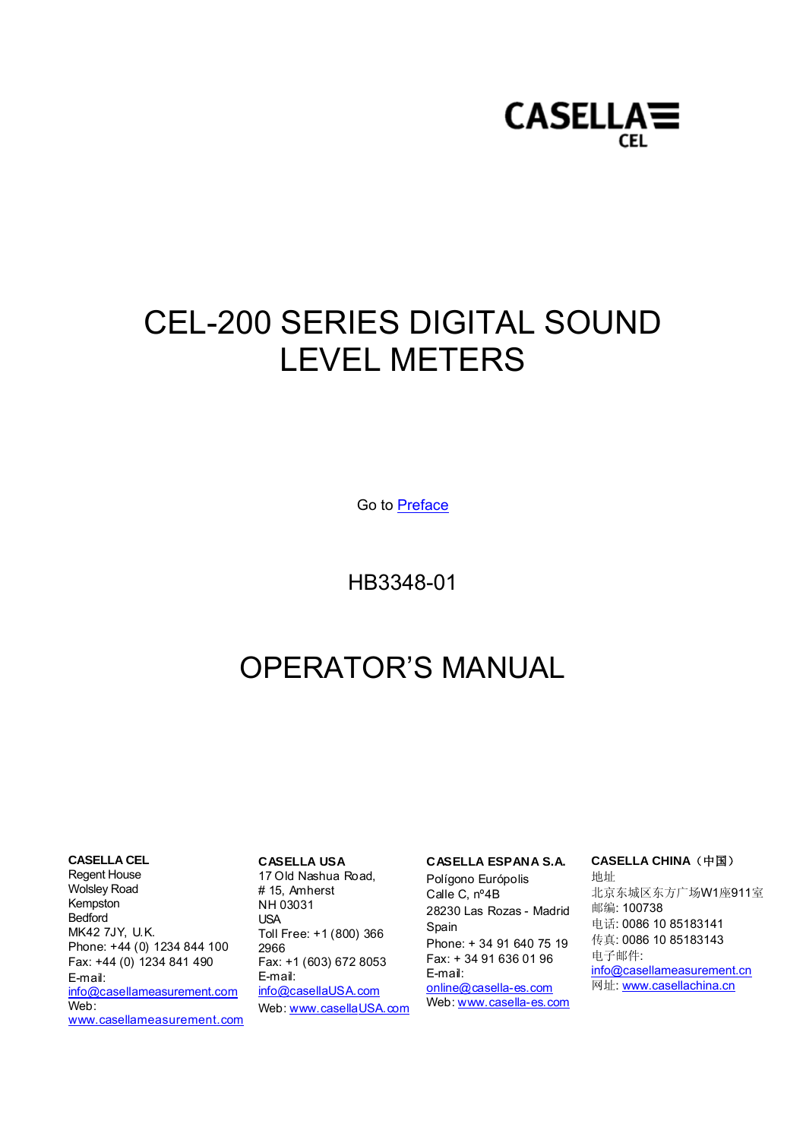

# <span id="page-0-0"></span>CEL-200 SERIES DIGITAL SOUND LEVEL METERS

Go to [Preface](#page-1-0)

HB3348-01

# OPERATOR'S MANUAL

Regent House **17 Old Nashua Road,** Poligono Európolis 地址<br>Wolsley Road **that Amberst** Collo C p<sup>o</sup>4B Polígono Európolis Wolsley Road # 15, Amherst Calle C, nº4B Kempston NH 03031 28230 Las Rozas 邮编: 100738 - Madrid Bedford USA Spain 电话: 0086 10 85183141 MK42 7JY, U.K. Toll Free: +1 (800) <sup>366</sup> MK42 7JY, U.K. Toll Free: +1 (800) 366 Phone: +34 91 640 75 19<br>Phone: +44 (0) 1234 844 100 2966 Phone: +34 91 640 75 19 传真: 0086 10 85183143<br>Fax: +44 (0) 1234 841 490 Fax: +1 (603) 672 8053 Fax: +34 91 636 01 96 电子邮件: Fax: +44 (0) 1234 841 490 Fax: +1 (603) 672 8053 Fax: +1 E-mail: [info@casellameasurement.com](mailto:info@casellameasurement.com) info@casellaUSA.com [online@casella-es.com](mailto:online@casella-es.com)<br>Web:www.casella-es.com Metamony secula-19A sam Web:www.casella-es.com Web: Web: www.casellaUSA.com Web: [www.casella-es.com](http://www.casella-es.com/) [www.casellameasurement.com](http://www.casellameasurement.com/)

E-mail:<br>info@casellal ISA com online@casella-es.com [info@casellaUSA.com](mailto:info@casellaUSA.com)

# **CASELLA CEL CASELLA USA** CASELLA ESPANA S.A. CASELLA CHINA (中国)<br>Regent House 17 Old Nashua Road. Polígono Európolis 地址

北京东城区东方广场W1座911室 电子邮件: [info@casellameasurement.cn](mailto:info@casellameasurement.cn) 网址: [www.casellachina.cn](http://www.casellachina.cn/)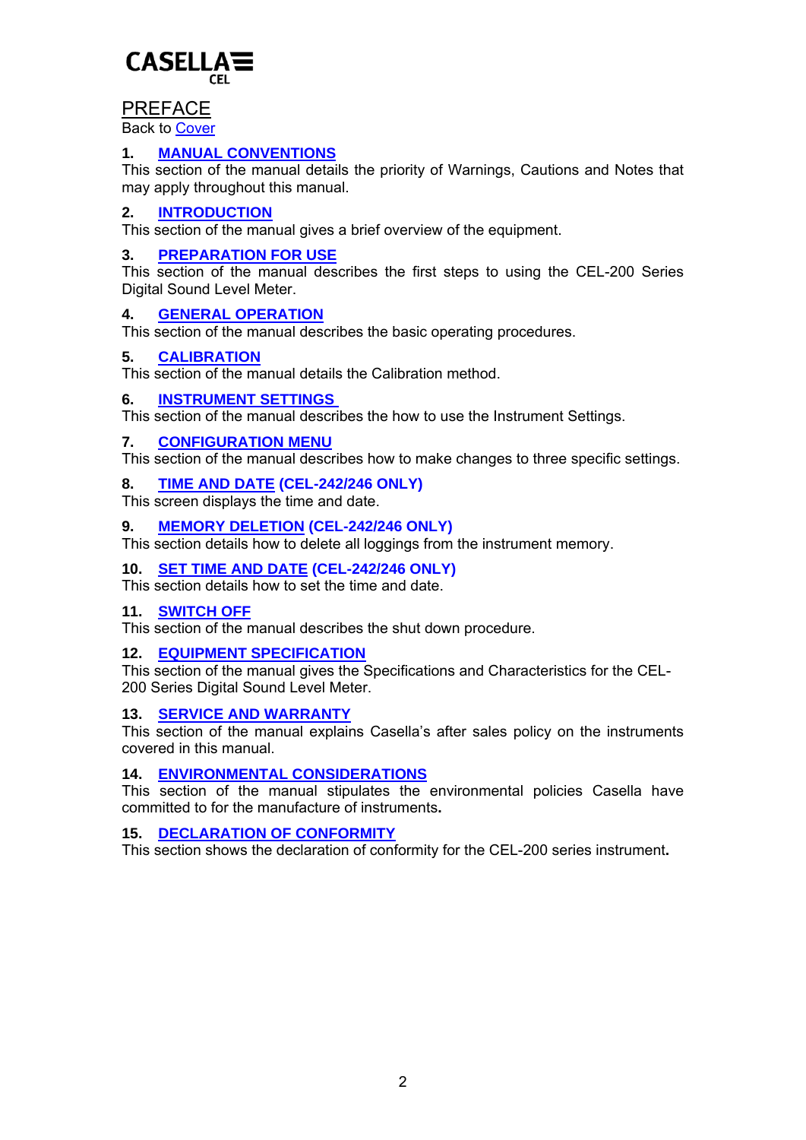<span id="page-1-0"></span>

# PREFACE

Back to [Cover](#page-0-0)

#### **1. [MANUAL CONVENTIONS](#page-2-0)**

This section of the manual details the priority of Warnings, Cautions and Notes that may apply throughout this manual.

#### **2. [INTRODUCTION](#page-3-0)**

This section of the manual gives a brief overview of the equipment.

#### **3. [PREPARATION FOR USE](#page-5-0)**

This section of the manual describes the first steps to using the CEL-200 Series Digital Sound Level Meter.

#### **4. [GENERAL OPERATION](#page-6-0)**

This section of the manual describes the basic operating procedures.

#### **5. [CALIBRATION](#page-7-0)**

This section of the manual details the Calibration method.

#### **6. [INSTRUMENT SETTINGS](#page-8-0)**

This section of the manual describes the how to use the Instrument Settings.

#### **7. [CONFIGURATION MENU](#page-12-0)**

This section of the manual describes how to make changes to three specific settings.

#### **8. [TIME AND DATE](#page-13-0) (CEL-242/246 ONLY)**

This screen displays the time and date.

#### **9. [MEMORY DELETION](#page-14-0) (CEL-242/246 ONLY)**

This section details how to delete all loggings from the instrument memory.

**10. [SET TIME AND DATE](#page-15-0) (CEL-242/246 ONLY)**

This section details how to set the time and date.

#### **11. [SWITCH OFF](#page-15-0)**

This section of the manual describes the shut down procedure.

#### **12. [EQUIPMENT SPECIFICATION](#page-16-0)**

This section of the manual gives the Specifications and Characteristics for the CEL-200 Series Digital Sound Level Meter.

#### **13. [SERVICE AND WARRANTY](#page-18-0)**

This section of the manual explains Casella's after sales policy on the instruments covered in this manual.

#### **14. [ENVIRONMENTAL CONSIDERATIONS](#page-19-0)**

This section of the manual stipulates the environmental policies Casella have committed to for the manufacture of instruments**.** 

#### **15. [DECLARATION OF CONFORMITY](#page-20-0)**

This section shows the declaration of conformity for the CEL-200 series instrument**.**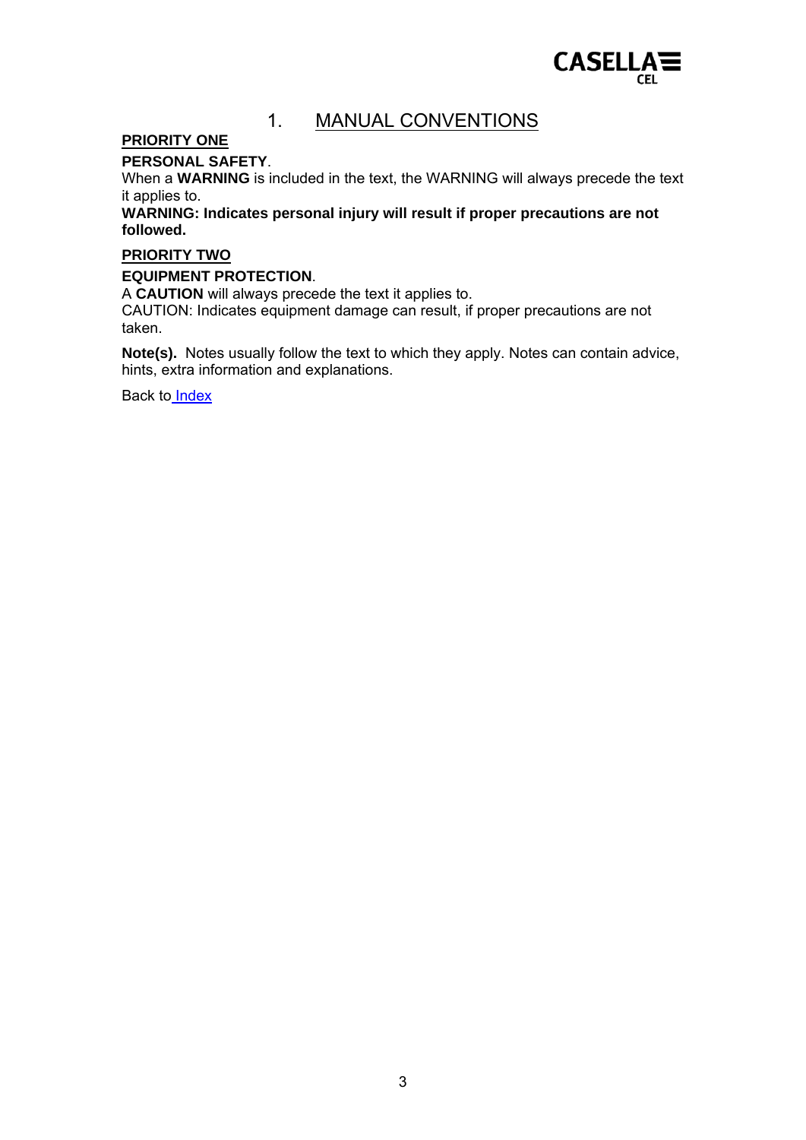

# 1. MANUAL CONVENTIONS

# <span id="page-2-0"></span>**PRIORITY ONE**

#### **PERSONAL SAFETY**.

When a **WARNING** is included in the text, the WARNING will always precede the text it applies to.

**WARNING: Indicates personal injury will result if proper precautions are not followed.** 

#### **PRIORITY TWO**

#### **EQUIPMENT PROTECTION**.

A **CAUTION** will always precede the text it applies to.

CAUTION: Indicates equipment damage can result, if proper precautions are not taken.

**Note(s).** Notes usually follow the text to which they apply. Notes can contain advice, hints, extra information and explanations.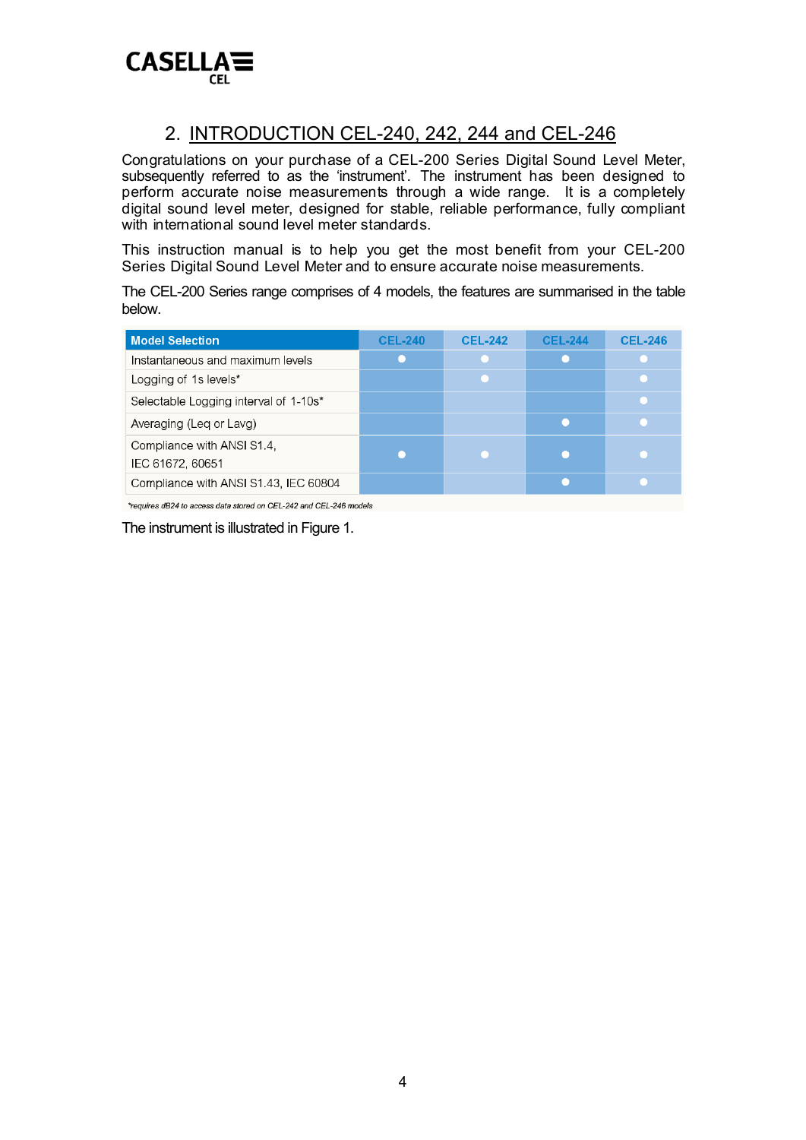<span id="page-3-0"></span>

# 2. INTRODUCTION CEL-240, 242, 244 and CEL-246

Congratulations on your purchase of a CEL-200 Series Digital Sound Level Meter, subsequently referred to as the 'instrument'. The instrument has been designed to perform accurate noise measurements through a wide range. It is a completely digital sound level meter, designed for stable, reliable performance, fully compliant with international sound level meter standards.

This instruction manual is to help you get the most benefit from your CEL-200 Series Digital Sound Level Meter and to ensure accurate noise measurements.

The CEL-200 Series range comprises of 4 models, the features are summarised in the table below.

| <b>Model Selection</b>                         | <b>CEL-240</b> | <b>CEL-242</b> | <b>CEL-244</b> | <b>CEL-246</b> |
|------------------------------------------------|----------------|----------------|----------------|----------------|
| Instantaneous and maximum levels               |                |                |                |                |
| Logging of 1s levels*                          |                | ∩              |                |                |
| Selectable Logging interval of 1-10s*          |                |                |                |                |
| Averaging (Leg or Lavg)                        |                |                |                |                |
| Compliance with ANSI S1.4,<br>IEC 61672, 60651 |                |                |                |                |
| Compliance with ANSI S1.43, IEC 60804          |                |                |                |                |

\*requires dB24 to access data stored on CEL-242 and CEL-246 models

The instrument is illustrated in Figure 1.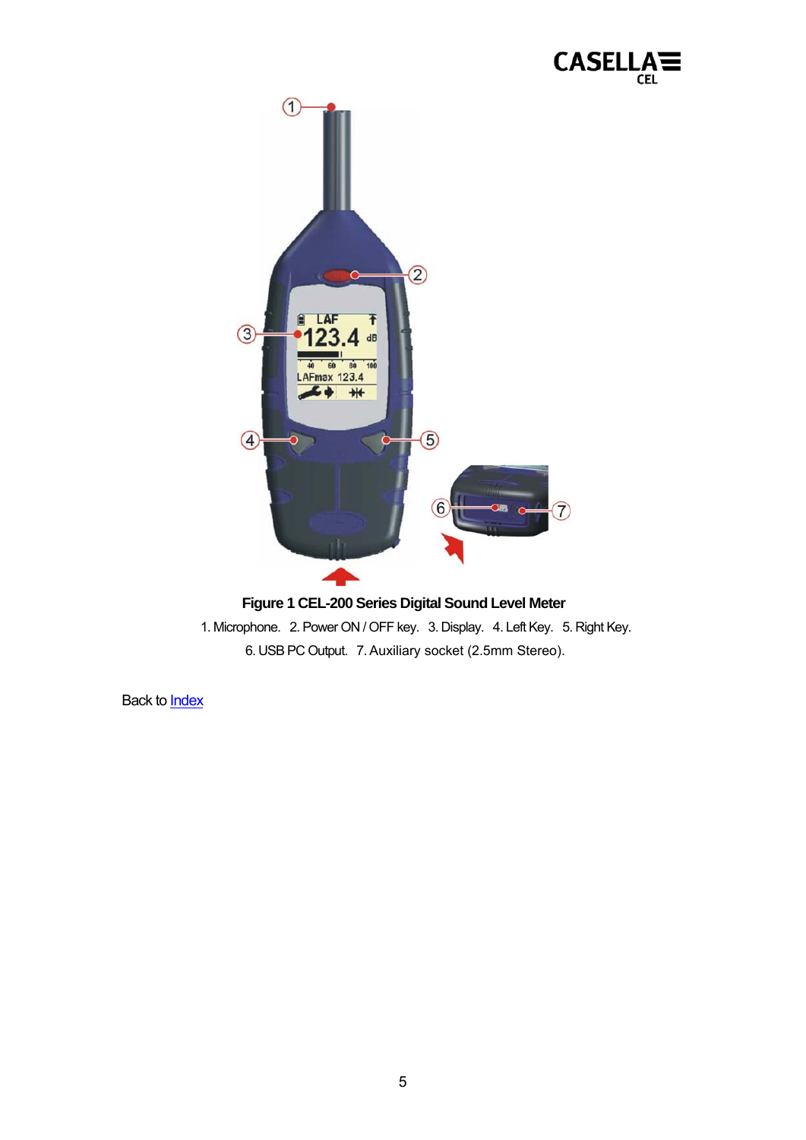



**Figure 1 CEL-200 Series Digital Sound Level Meter**  1. Microphone. 2. Power ON / OFF key. 3. Display. 4. Left Key. 5. Right Key. 6. USB PC Output. 7. Auxiliary socket (2.5mm Stereo).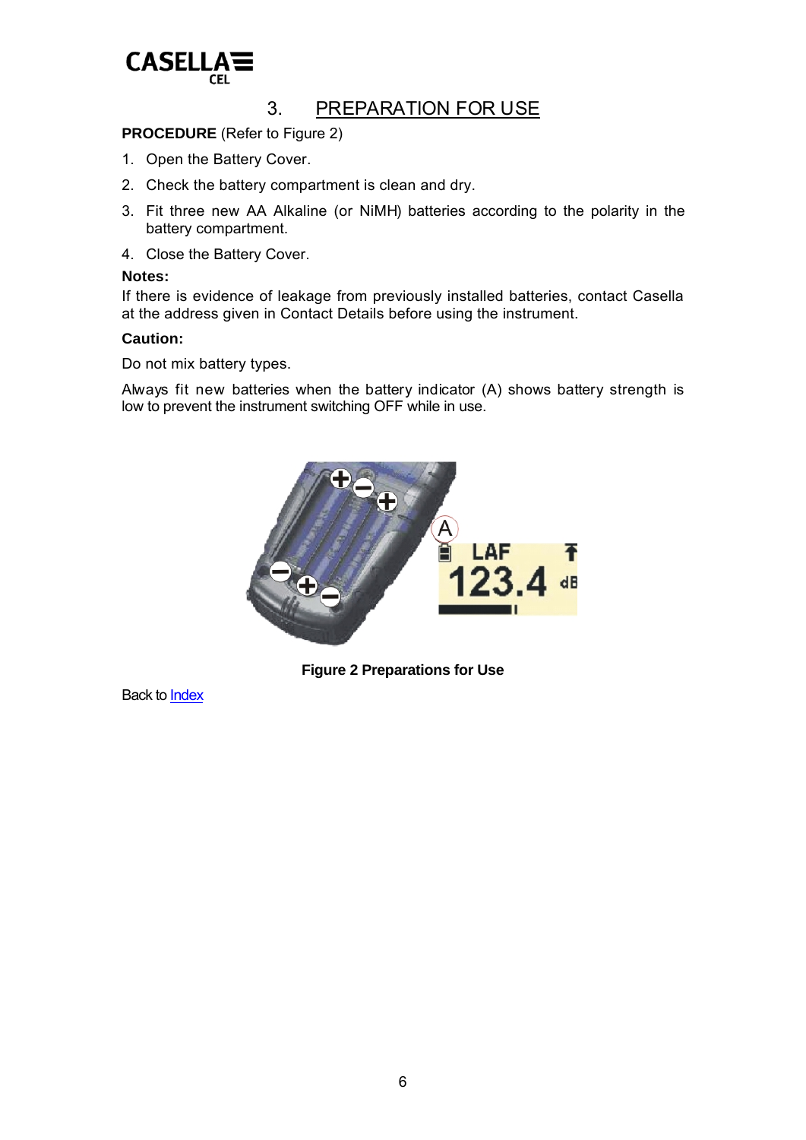<span id="page-5-0"></span>

# 3. PREPARATION FOR USE

**PROCEDURE** (Refer to Figure 2)

- 1. Open the Battery Cover.
- 2. Check the battery compartment is clean and dry.
- 3. Fit three new AA Alkaline (or NiMH) batteries according to the polarity in the battery compartment.
- 4. Close the Battery Cover.

#### **Notes:**

If there is evidence of leakage from previously installed batteries, contact Casella at the address given in Contact Details before using the instrument.

#### **Caution:**

Do not mix battery types.

Always fit new batteries when the battery indicator (A) shows battery strength is low to prevent the instrument switching OFF while in use.



**Figure 2 Preparations for Use**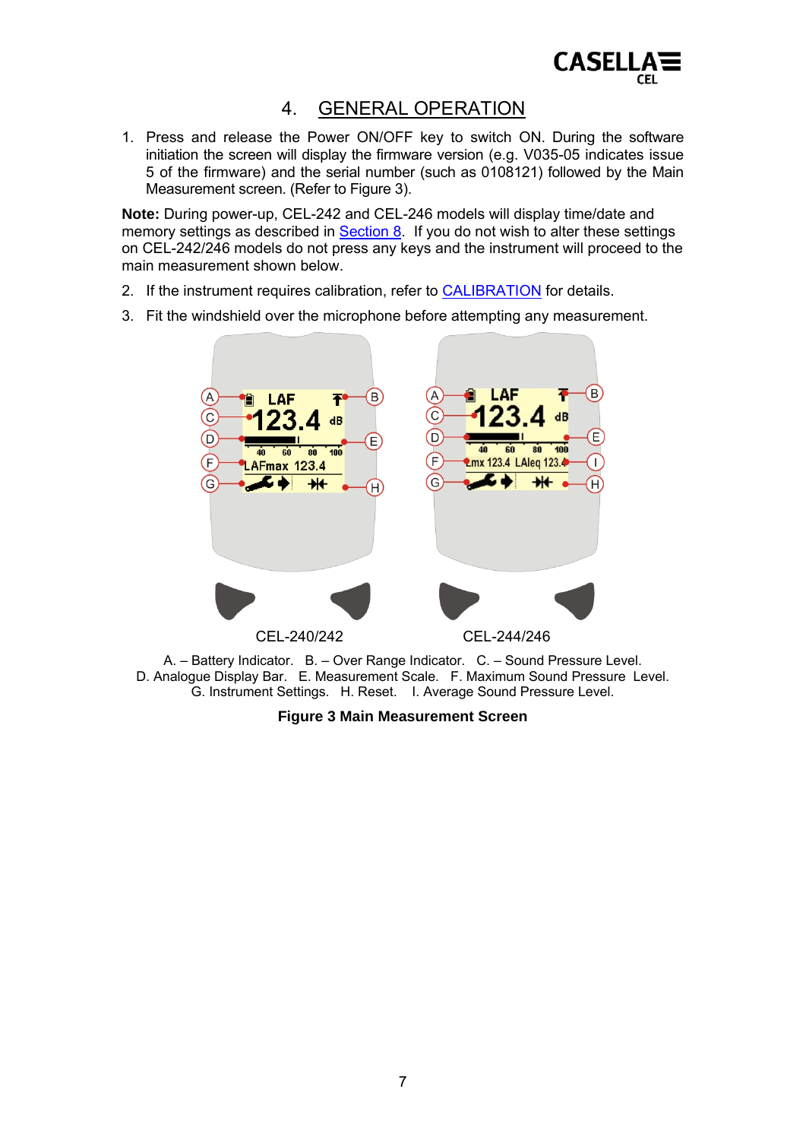

# 4. GENERAL OPERATION

<span id="page-6-0"></span>1. Press and release the Power ON/OFF key to switch ON. During the software initiation the screen will display the firmware version (e.g. V035-05 indicates issue 5 of the firmware) and the serial number (such as 0108121) followed by the Main Measurement screen. (Refer to Figure 3).

**Note:** During power-up, CEL-242 and CEL-246 models will display time/date and memory settings as described in [Section 8.](#page-13-0) If you do not wish to alter these settings on CEL-242/246 models do not press any keys and the instrument will proceed to the main measurement shown below.

- 2. If the instrument requires calibration, refer to [CALIBRATION](#page-7-0) for details.
- 3. Fit the windshield over the microphone before attempting any measurement.



A. – Battery Indicator. B. – Over Range Indicator. C. – Sound Pressure Level. D. Analogue Display Bar. E. Measurement Scale. F. Maximum Sound Pressure Level. G. Instrument Settings. H. Reset. I. Average Sound Pressure Level.

**Figure 3 Main Measurement Screen**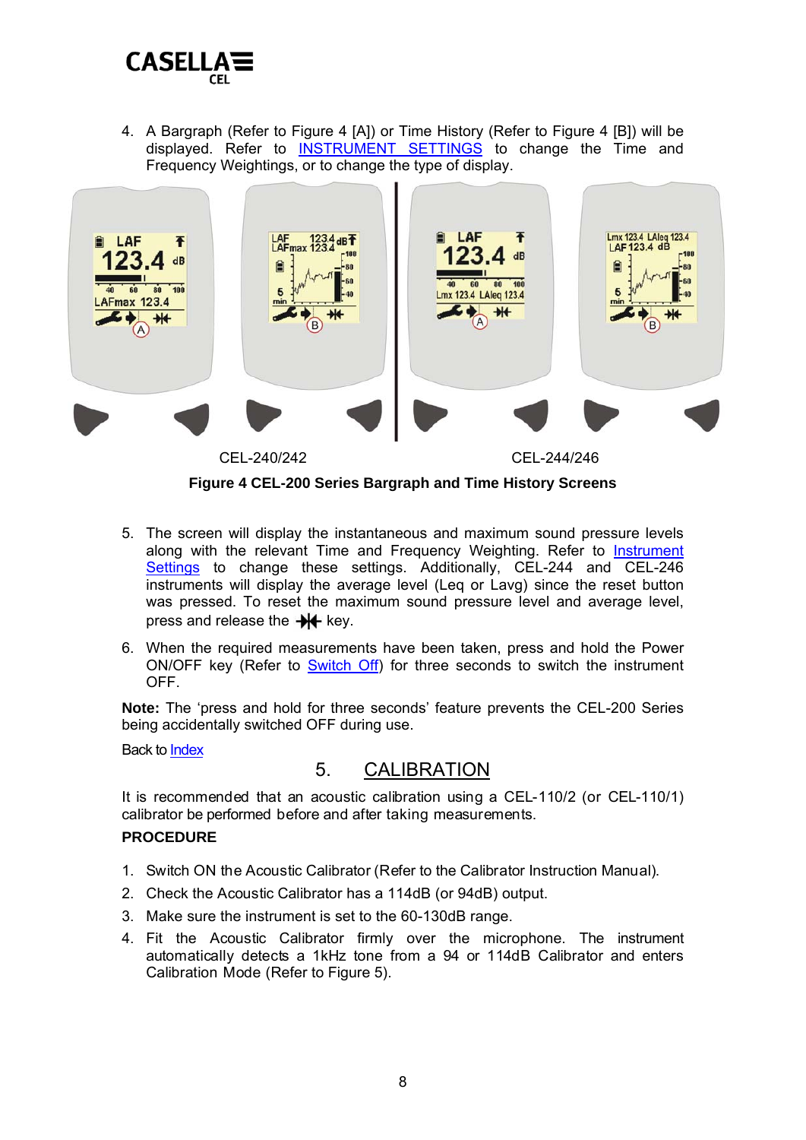<span id="page-7-0"></span>

4. A Bargraph (Refer to Figure 4 [A]) or Time History (Refer to Figure 4 [B]) will be displayed. Refer to [INSTRUMENT SETTINGS](#page-8-0) to change the Time and Frequency Weightings, or to change the type of display.



**Figure 4 CEL-200 Series Bargraph and Time History Screens** 

- 5. The screen will display the instantaneous and maximum sound pressure levels along with the relevant Time and Frequency Weighting. Refer to Instrument [Settings](#page-8-0) to change these settings. Additionally, CEL-244 and CEL-246 instruments will display the average level (Leq or Lavg) since the reset button was pressed. To reset the maximum sound pressure level and average level, press and release the key.
- 6. When the required measurements have been taken, press and hold the Power ON/OFF key (Refer to [Switch Off\)](#page-15-0) for three seconds to switch the instrument OFF.

**Note:** The 'press and hold for three seconds' feature prevents the CEL-200 Series being accidentally switched OFF during use.

Back to [Index](#page-1-0)

# 5. CALIBRATION

It is recommended that an acoustic calibration using a CEL-110/2 (or CEL-110/1) calibrator be performed before and after taking measurements.

#### **PROCEDURE**

- 1. Switch ON the Acoustic Calibrator (Refer to the Calibrator Instruction Manual).
- 2. Check the Acoustic Calibrator has a 114dB (or 94dB) output.
- 3. Make sure the instrument is set to the 60-130dB range.
- 4. Fit the Acoustic Calibrator firmly over the microphone. The instrument automatically detects a 1kHz tone from a 94 or 114dB Calibrator and enters Calibration Mode (Refer to Figure 5).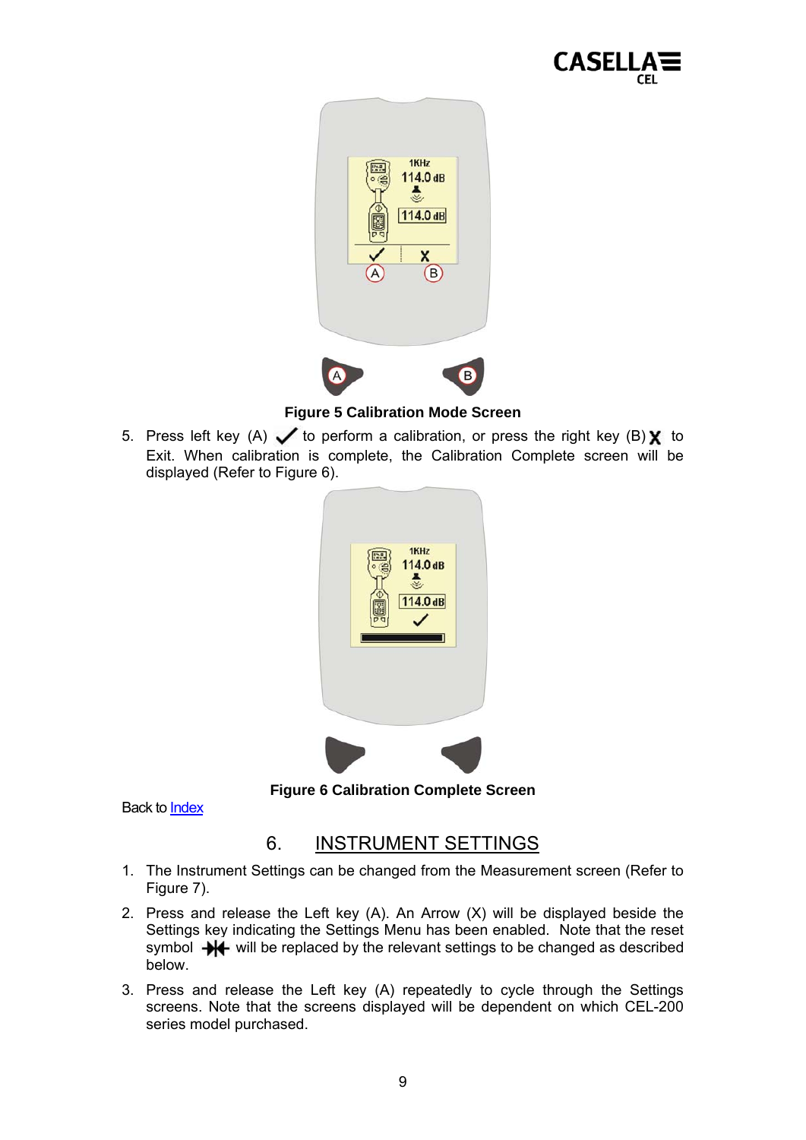

<span id="page-8-0"></span>

**Figure 5 Calibration Mode Screen** 

5. Press left key (A)  $\checkmark$  to perform a calibration, or press the right key (B)  $\chi$  to Exit. When calibration is complete, the Calibration Complete screen will be displayed (Refer to Figure 6).

| 1KHz<br>靐<br>114.0 dB                                                                                                                                                                                                                                                                                                                                                            |
|----------------------------------------------------------------------------------------------------------------------------------------------------------------------------------------------------------------------------------------------------------------------------------------------------------------------------------------------------------------------------------|
| $\begin{picture}(20,5) \put(0,0) {\line(1,0){15}} \put(0,0) {\line(1,0){15}} \put(1,0) {\line(1,0){15}} \put(1,0) {\line(1,0){15}} \put(1,0) {\line(1,0){15}} \put(1,0) {\line(1,0){15}} \put(1,0) {\line(1,0){15}} \put(1,0) {\line(1,0){15}} \put(1,0) {\line(1,0){15}} \put(1,0) {\line(1,0){15}} \put(1,0) {\line(1,0){15}} \put(1,0) {\line(1,0){15}} \put(1,0$<br>114.0 dB |
|                                                                                                                                                                                                                                                                                                                                                                                  |
|                                                                                                                                                                                                                                                                                                                                                                                  |

**Figure 6 Calibration Complete Screen** 

Back to [Index](#page-1-0)

# 6. INSTRUMENT SETTINGS

- 1. The Instrument Settings can be changed from the Measurement screen (Refer to Figure 7).
- 2. Press and release the Left key (A). An Arrow (X) will be displayed beside the Settings key indicating the Settings Menu has been enabled. Note that the reset symbol  $\rightarrow$   $\leftarrow$  will be replaced by the relevant settings to be changed as described below.
- 3. Press and release the Left key (A) repeatedly to cycle through the Settings screens. Note that the screens displayed will be dependent on which CEL-200 series model purchased.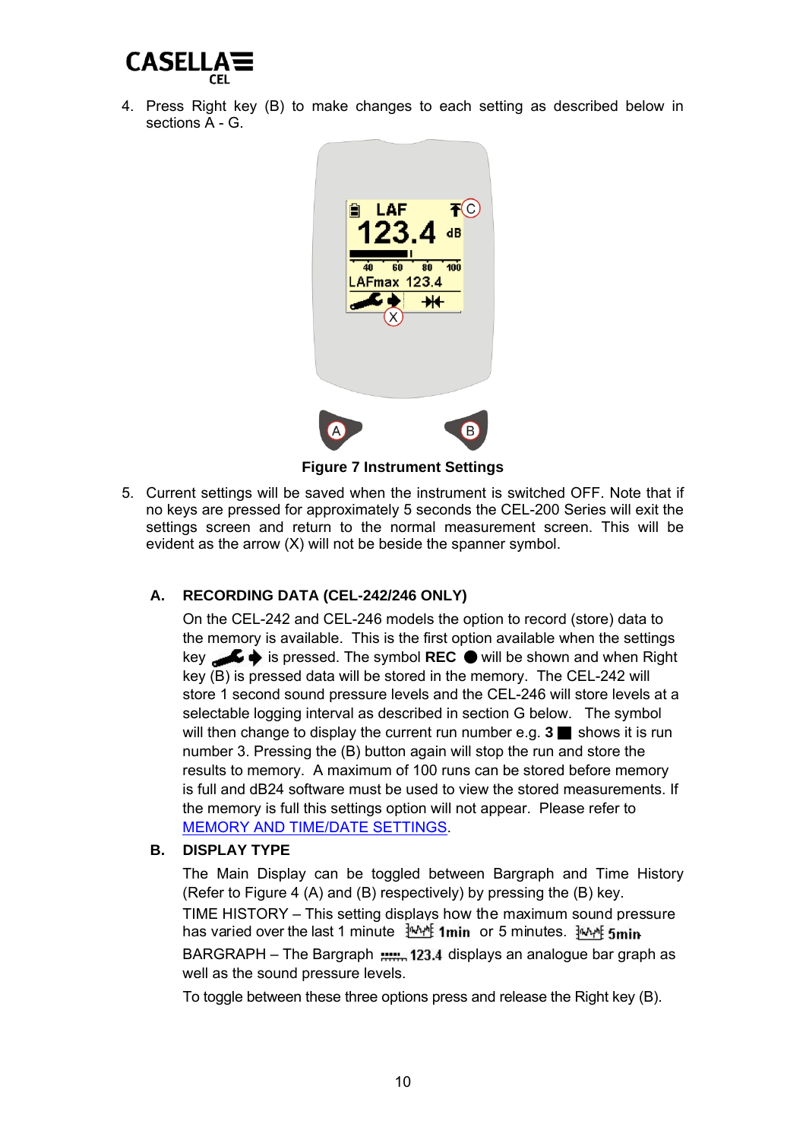

4. Press Right key (B) to make changes to each setting as described below in sections A - G.



**Figure 7 Instrument Settings** 

5. Current settings will be saved when the instrument is switched OFF. Note that if no keys are pressed for approximately 5 seconds the CEL-200 Series will exit the settings screen and return to the normal measurement screen. This will be evident as the arrow (X) will not be beside the spanner symbol.

#### **A. RECORDING DATA (CEL-242/246 ONLY)**

On the CEL-242 and CEL-246 models the option to record (store) data to the memory is available. This is the first option available when the settings key is pressed. The symbol **REC** will be shown and when Right key (B) is pressed data will be stored in the memory. The CEL-242 will store 1 second sound pressure levels and the CEL-246 will store levels at a selectable logging interval as described in section G below. The symbol will then change to display the current run number e.g.  $3 \equiv$  shows it is run number 3. Pressing the (B) button again will stop the run and store the results to memory. A maximum of 100 runs can be stored before memory is full and dB24 software must be used to view the stored measurements. If the memory is full this settings option will not appear. Please refer to [MEMORY AND TIME/DATE SETTINGS](#page-13-0).

#### **B. DISPLAY TYPE**

The Main Display can be toggled between Bargraph and Time History (Refer to Figure 4 (A) and (B) respectively) by pressing the (B) key. TIME HISTORY – This setting displays how the maximum sound pressure has varied over the last 1 minute  $\frac{100 \text{ M}}{2}$  1 min or 5 minutes.  $\frac{100 \text{ M}}{2}$  5 min BARGRAPH – The Bargraph  $\frac{1}{2}$ , 123.4 displays an analogue bar graph as well as the sound pressure levels.

To toggle between these three options press and release the Right key (B).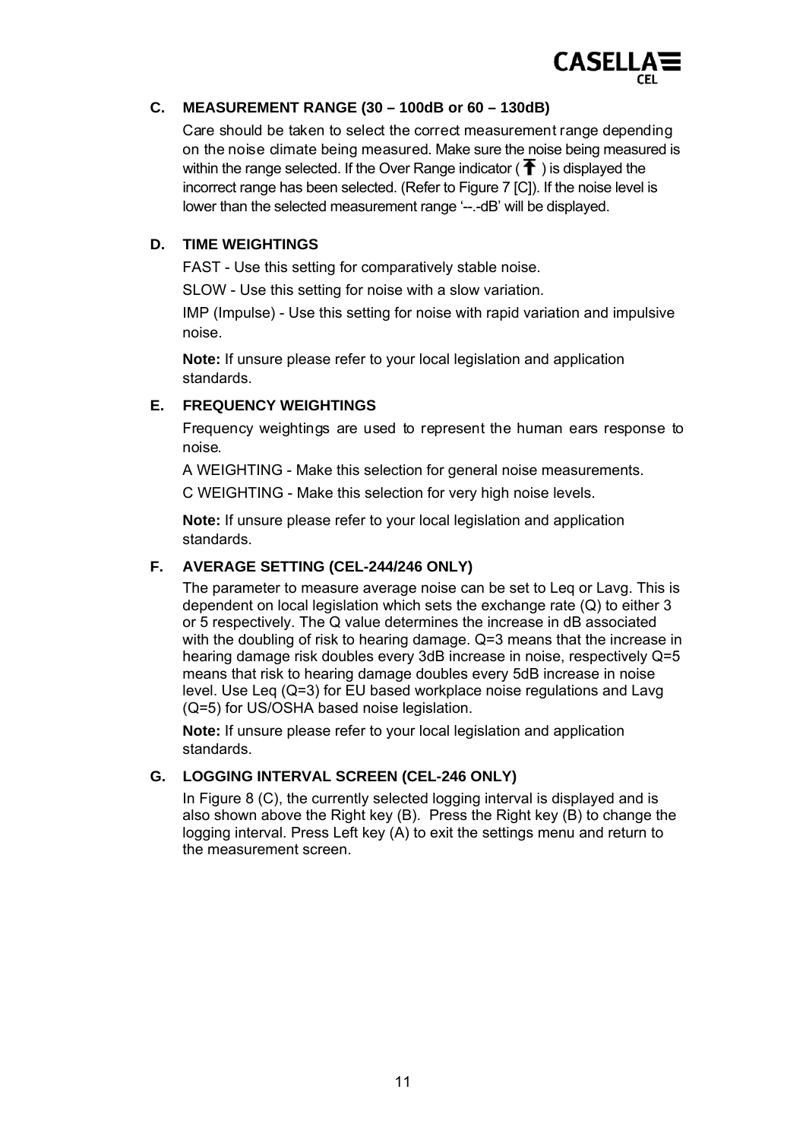

#### **C. MEASUREMENT RANGE (30 – 100dB or 60 – 130dB)**

Care should be taken to select the correct measurement range depending on the noise climate being measured. Make sure the noise being measured is within the range selected. If the Over Range indicator ( $\biguparrow$ ) is displayed the incorrect range has been selected. (Refer to Figure 7 [C]). If the noise level is lower than the selected measurement range '---dB' will be displayed.

#### **D. TIME WEIGHTINGS**

FAST - Use this setting for comparatively stable noise.

SLOW - Use this setting for noise with a slow variation.

IMP (Impulse) - Use this setting for noise with rapid variation and impulsive noise.

**Note:** If unsure please refer to your local legislation and application standards.

#### **E. FREQUENCY WEIGHTINGS**

Frequency weightings are used to represent the human ears response to noise.

A WEIGHTING - Make this selection for general noise measurements.

C WEIGHTING - Make this selection for very high noise levels.

**Note:** If unsure please refer to your local legislation and application standards.

#### **F. AVERAGE SETTING (CEL-244/246 ONLY)**

The parameter to measure average noise can be set to Leq or Lavg. This is dependent on local legislation which sets the exchange rate (Q) to either 3 or 5 respectively. The Q value determines the increase in dB associated with the doubling of risk to hearing damage. Q=3 means that the increase in hearing damage risk doubles every 3dB increase in noise, respectively Q=5 means that risk to hearing damage doubles every 5dB increase in noise level. Use Leq (Q=3) for EU based workplace noise regulations and Lavg (Q=5) for US/OSHA based noise legislation.

**Note:** If unsure please refer to your local legislation and application standards.

#### **G. LOGGING INTERVAL SCREEN (CEL-246 ONLY)**

In Figure 8 (C), the currently selected logging interval is displayed and is also shown above the Right key (B). Press the Right key (B) to change the logging interval. Press Left key (A) to exit the settings menu and return to the measurement screen.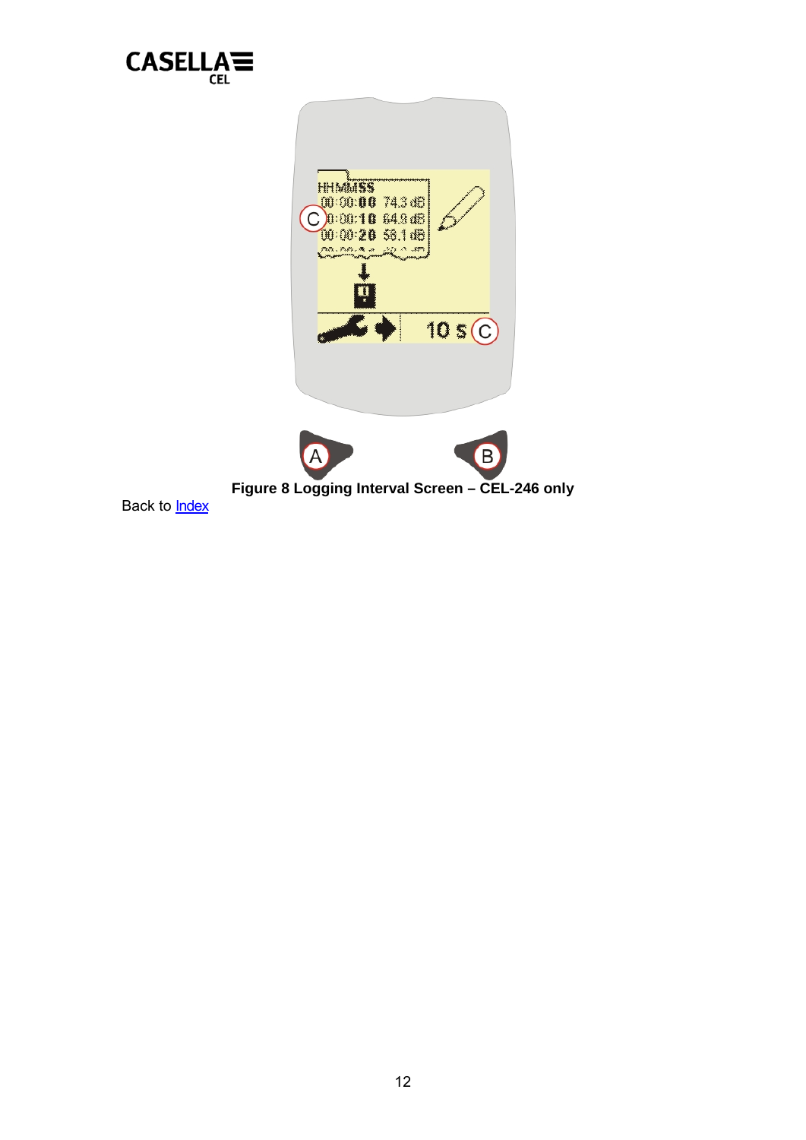

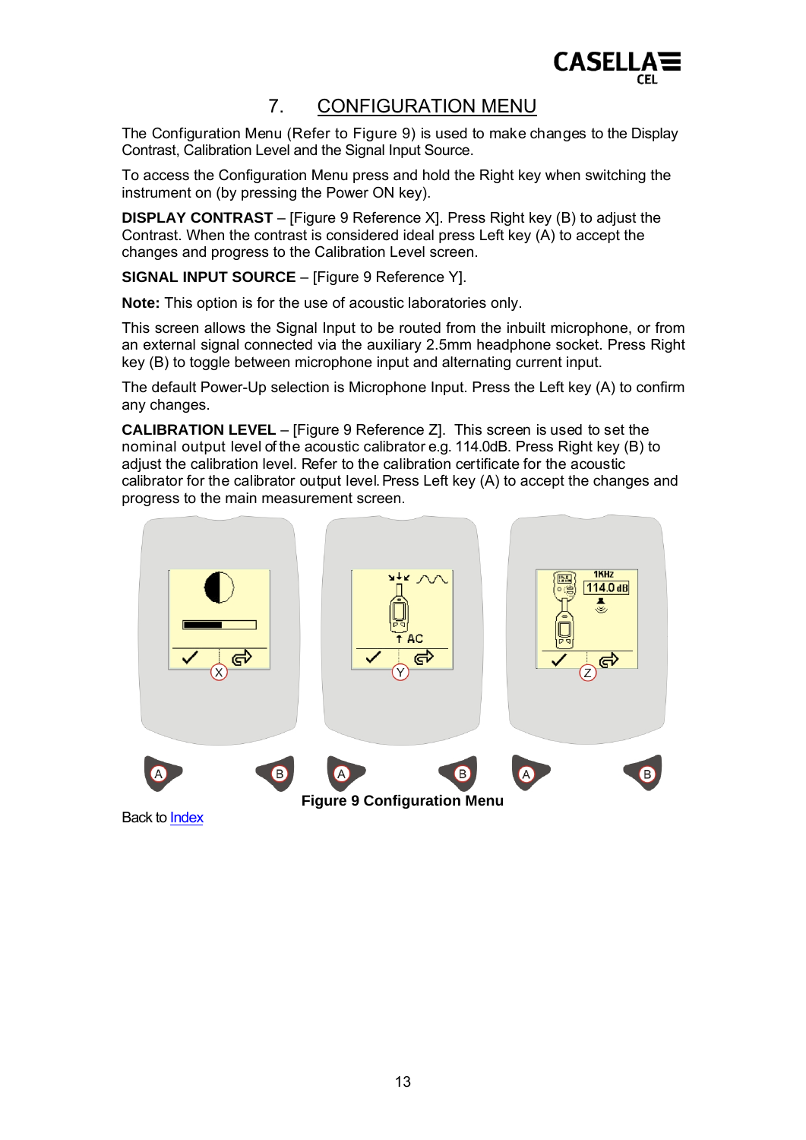# 7. CONFIGURATION MENU

<span id="page-12-0"></span>The Configuration Menu (Refer to Figure 9) is used to make changes to the Display Contrast, Calibration Level and the Signal Input Source.

To access the Configuration Menu press and hold the Right key when switching the instrument on (by pressing the Power ON key).

**DISPLAY CONTRAST** – [Figure 9 Reference X]. Press Right key (B) to adjust the Contrast. When the contrast is considered ideal press Left key (A) to accept the changes and progress to the Calibration Level screen.

**SIGNAL INPUT SOURCE** – [Figure 9 Reference Y].

**Note:** This option is for the use of acoustic laboratories only.

This screen allows the Signal Input to be routed from the inbuilt microphone, or from an external signal connected via the auxiliary 2.5mm headphone socket. Press Right key (B) to toggle between microphone input and alternating current input.

The default Power-Up selection is Microphone Input. Press the Left key (A) to confirm any changes.

**CALIBRATION LEVEL** – [Figure 9 Reference Z]. This screen is used to set the nominal output level of the acoustic calibrator e.g. 114.0dB. Press Right key (B) to adjust the calibration level. Refer to the calibration certificate for the acoustic calibrator for the calibrator output level. Press Left key (A) to accept the changes and progress to the main measurement screen.

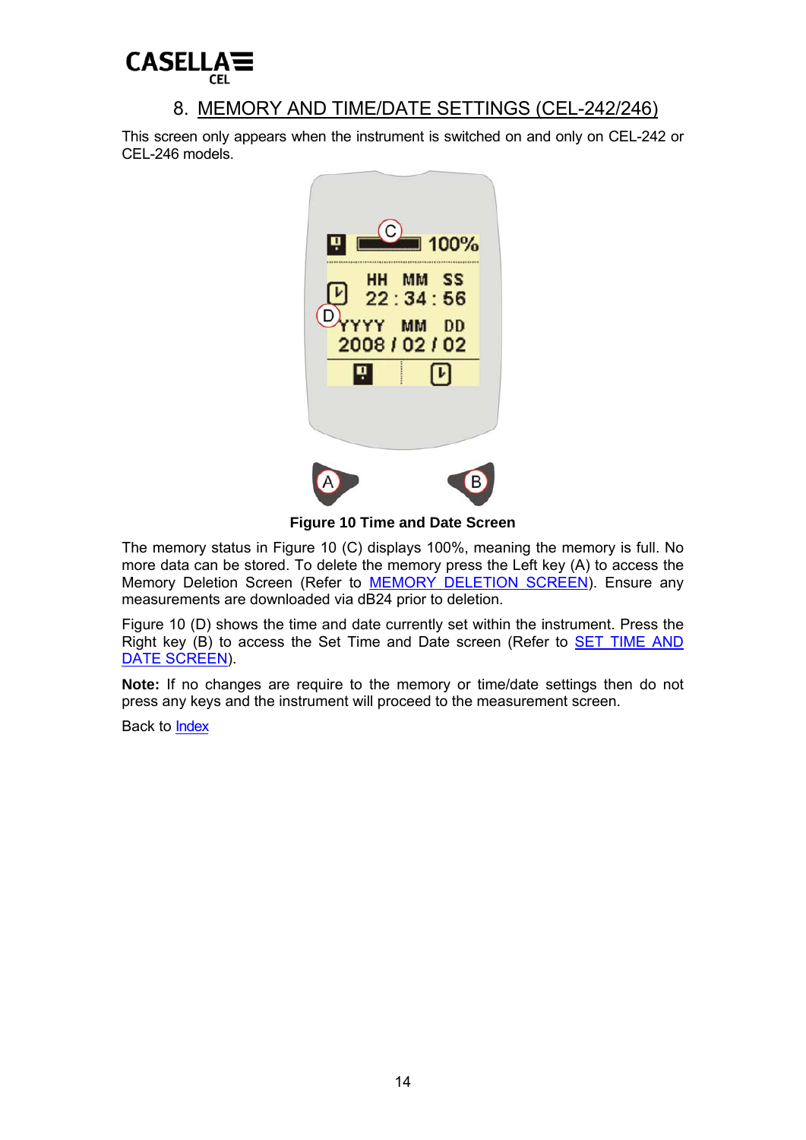<span id="page-13-0"></span>

# 8. MEMORY AND TIME/DATE SETTINGS (CEL-242/246)

This screen only appears when the instrument is switched on and only on CEL-242 or CEL-246 models.



**Figure 10 Time and Date Screen** 

The memory status in Figure 10 (C) displays 100%, meaning the memory is full. No more data can be stored. To delete the memory press the Left key (A) to access the Memory Deletion Screen (Refer to **MEMORY DELETION SCREEN**). Ensure any measurements are downloaded via dB24 prior to deletion.

Figure 10 (D) shows the time and date currently set within the instrument. Press the Right key (B) to access the Set Time and Date screen (Refer to [SET TIME AND](#page-13-0)  [DATE SCREEN](#page-13-0)).

**Note:** If no changes are require to the memory or time/date settings then do not press any keys and the instrument will proceed to the measurement screen.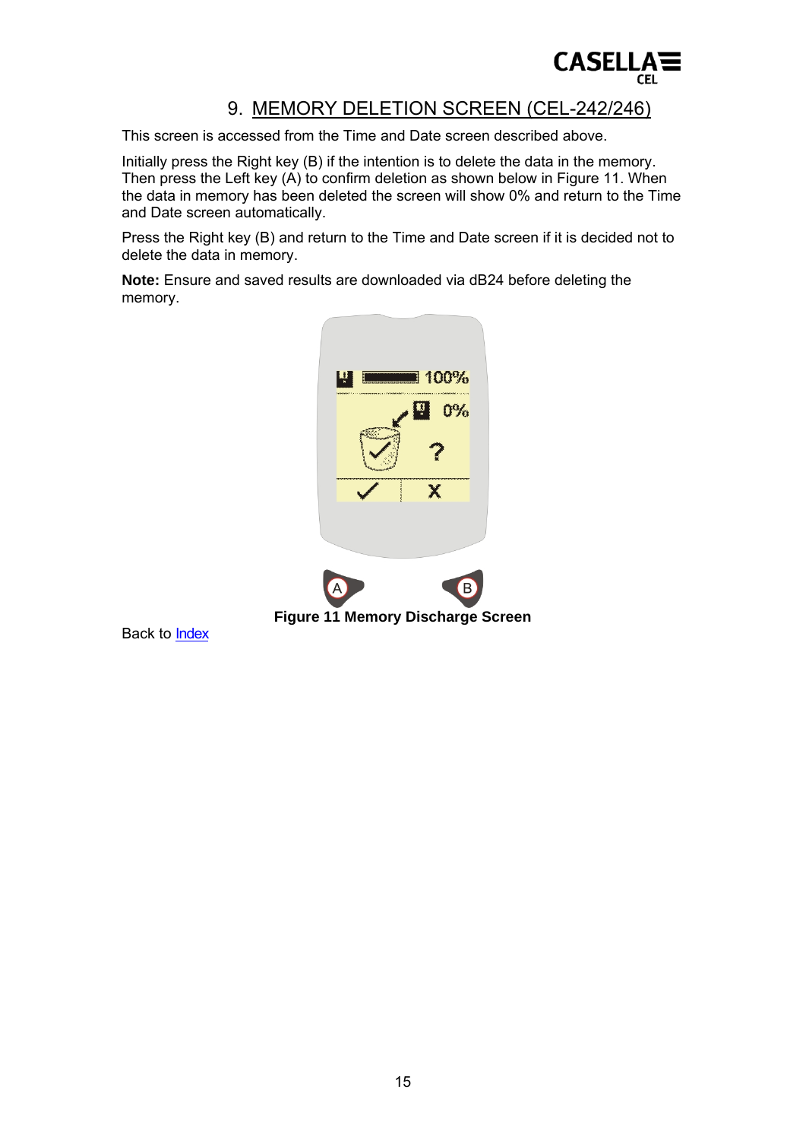# 9. MEMORY DELETION SCREEN (CEL-242/246)

<span id="page-14-0"></span>This screen is accessed from the Time and Date screen described above.

Initially press the Right key (B) if the intention is to delete the data in the memory. Then press the Left key (A) to confirm deletion as shown below in Figure 11. When the data in memory has been deleted the screen will show 0% and return to the Time and Date screen automatically.

Press the Right key (B) and return to the Time and Date screen if it is decided not to delete the data in memory.

**Note:** Ensure and saved results are downloaded via dB24 before deleting the memory.

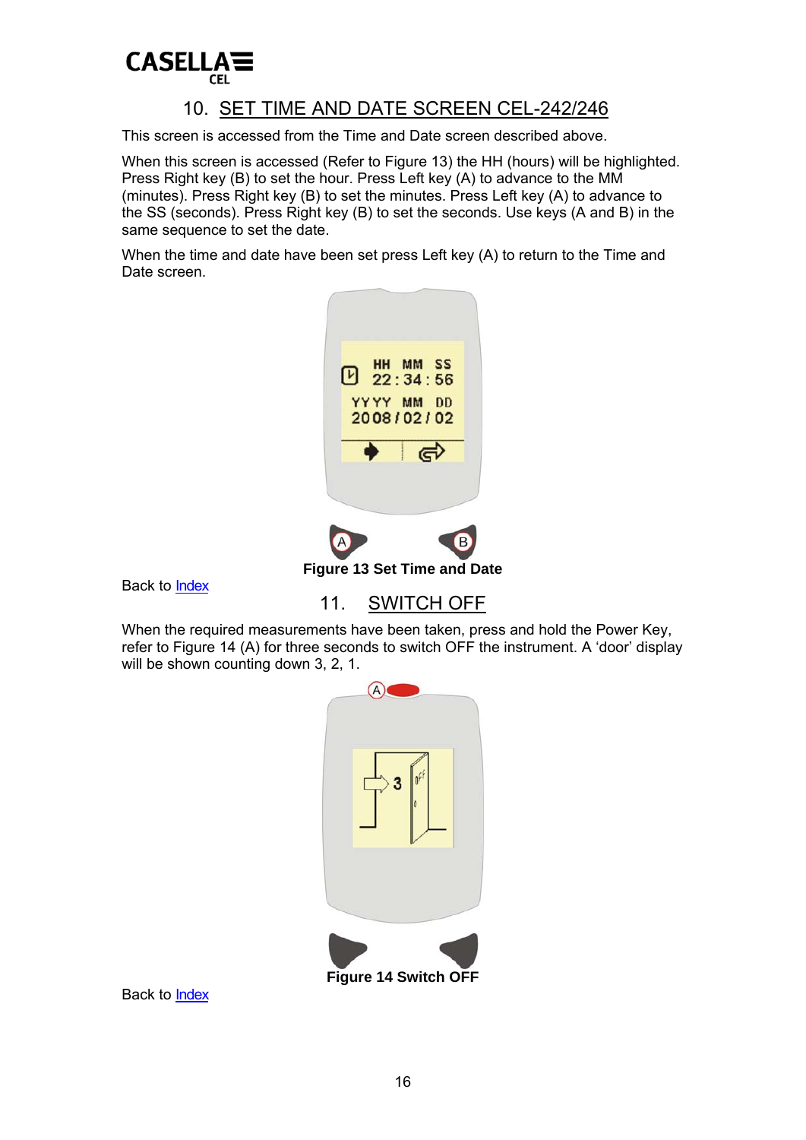# <span id="page-15-0"></span>**CASELLAE**

# 10. SET TIME AND DATE SCREEN CEL-242/246

This screen is accessed from the Time and Date screen described above.

When this screen is accessed (Refer to Figure 13) the HH (hours) will be highlighted. Press Right key (B) to set the hour. Press Left key (A) to advance to the MM (minutes). Press Right key (B) to set the minutes. Press Left key (A) to advance to the SS (seconds). Press Right key (B) to set the seconds. Use keys (A and B) in the same sequence to set the date.

When the time and date have been set press Left key (A) to return to the Time and Date screen.



Back to [Index](#page-1-0)

When the required measurements have been taken, press and hold the Power Key, refer to Figure 14 (A) for three seconds to switch OFF the instrument. A 'door' display will be shown counting down 3, 2, 1.



**Figure 14 Switch OFF**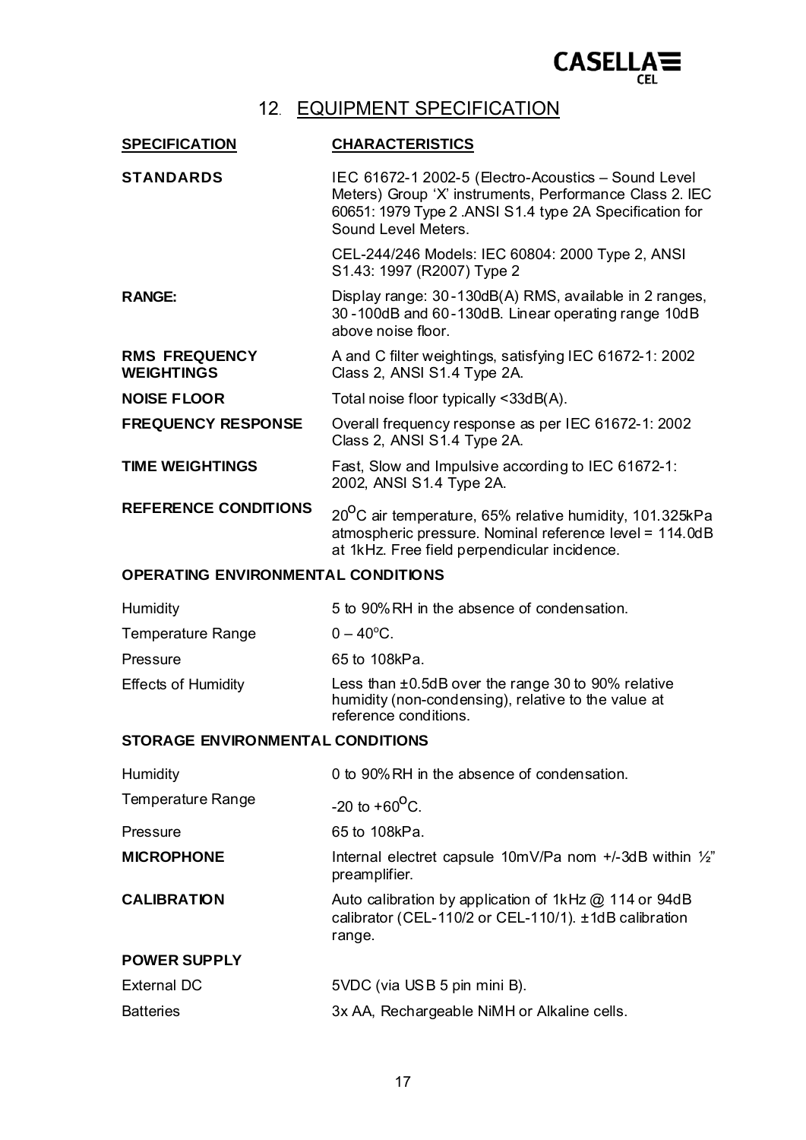# 12. EQUIPMENT SPECIFICATION

# <span id="page-16-0"></span>**SPECIFICATION CHARACTERISTICS**

| <b>STANDARDS</b>                          | IEC 61672-1 2002-5 (Electro-Acoustics - Sound Level<br>Meters) Group 'X' instruments, Performance Class 2. IEC<br>60651: 1979 Type 2 .ANSI S1.4 type 2A Specification for<br>Sound Level Meters. |
|-------------------------------------------|--------------------------------------------------------------------------------------------------------------------------------------------------------------------------------------------------|
|                                           | CEL-244/246 Models: IEC 60804: 2000 Type 2, ANSI<br>S1.43: 1997 (R2007) Type 2                                                                                                                   |
| <b>RANGE:</b>                             | Display range: 30-130dB(A) RMS, available in 2 ranges,<br>30-100dB and 60-130dB. Linear operating range 10dB<br>above noise floor.                                                               |
| <b>RMS FREQUENCY</b><br><b>WEIGHTINGS</b> | A and C filter weightings, satisfying IEC 61672-1: 2002<br>Class 2, ANSI S1.4 Type 2A.                                                                                                           |
| <b>NOISE FLOOR</b>                        | Total noise floor typically <33dB(A).                                                                                                                                                            |
| <b>FREQUENCY RESPONSE</b>                 | Overall frequency response as per IEC 61672-1: 2002<br>Class 2, ANSI S1.4 Type 2A.                                                                                                               |
| <b>TIME WEIGHTINGS</b>                    | Fast, Slow and Impulsive according to IEC 61672-1:<br>2002, ANSI S1.4 Type 2A.                                                                                                                   |
| <b>REFERENCE CONDITIONS</b>               | 20 <sup>0</sup> C air temperature, 65% relative humidity, 101.325kPa<br>atmospheric pressure. Nominal reference level = 114.0dB<br>at 1kHz. Free field perpendicular incidence.                  |
| <b>OPERATING ENVIRONMENTAL CONDITIONS</b> |                                                                                                                                                                                                  |
| Humidity                                  | 5 to 90% RH in the absence of condensation.                                                                                                                                                      |
| <b>Temperature Range</b>                  | $0 - 40^{\circ}$ C.                                                                                                                                                                              |
| Pressure                                  | 65 to 108kPa.                                                                                                                                                                                    |
| <b>Effects of Humidity</b>                | Less than ±0.5dB over the range 30 to 90% relative<br>humidity (non-condensing), relative to the value at<br>reference conditions.                                                               |
| <b>STORAGE ENVIRONMENTAL CONDITIONS</b>   |                                                                                                                                                                                                  |
| Humidity                                  | 0 to 90% RH in the absence of condensation.                                                                                                                                                      |
| Temperature Range                         | $-20$ to $+60$ <sup>O</sup> C.                                                                                                                                                                   |
| Pressure                                  | 65 to 108kPa.                                                                                                                                                                                    |
| <b>MICROPHONE</b>                         | Internal electret capsule 10mV/Pa nom $+/-3dB$ within $\frac{1}{2}$ "<br>preamplifier.                                                                                                           |
| <b>CALIBRATION</b>                        | Auto calibration by application of 1kHz @ 114 or 94dB<br>calibrator (CEL-110/2 or CEL-110/1). ±1dB calibration<br>range.                                                                         |
| <b>POWER SUPPLY</b>                       |                                                                                                                                                                                                  |
| <b>External DC</b>                        | 5VDC (via USB 5 pin mini B).                                                                                                                                                                     |
| <b>Batteries</b>                          | 3x AA, Rechargeable NiMH or Alkaline cells.                                                                                                                                                      |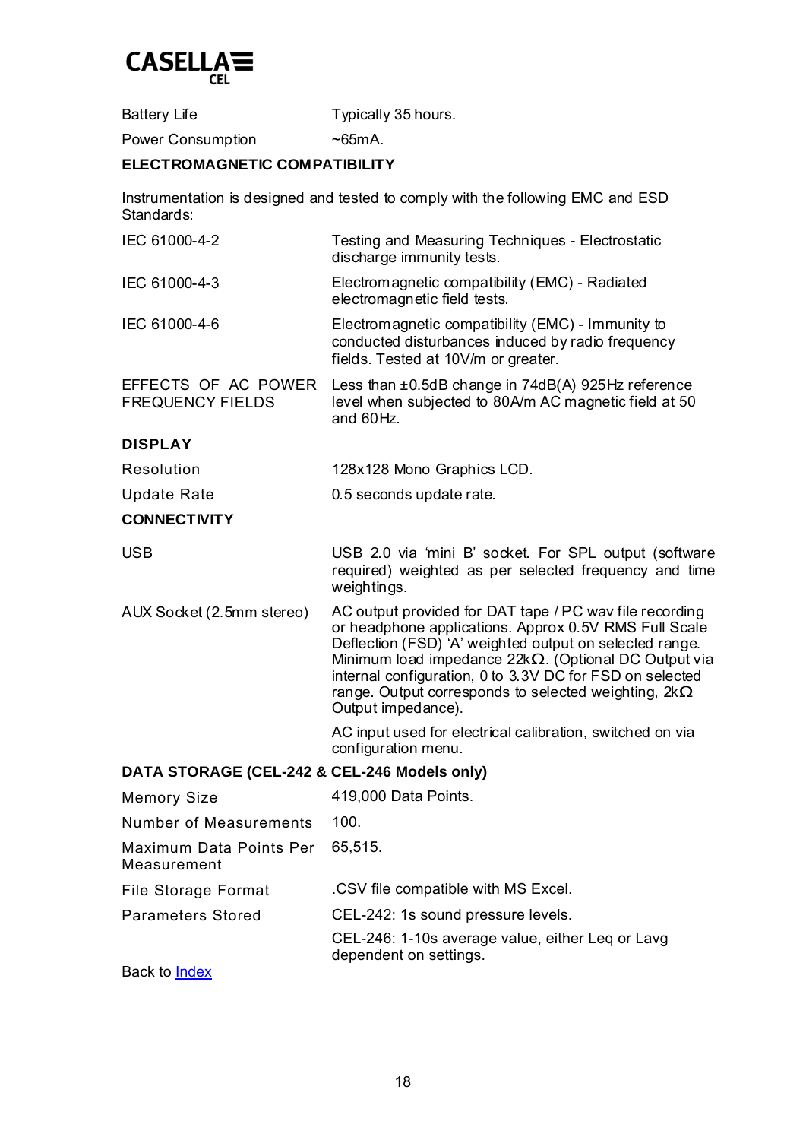

Battery Life Typically 35 hours.

Power Consumption ~65mA.

#### **ELECTROMAGNETIC COMPATIBILITY**

Instrumentation is designed and tested to comply with the following EMC and ESD Standards:

| IEC 61000-4-2                                  | Testing and Measuring Techniques - Electrostatic<br>discharge immunity tests.                                                                 |
|------------------------------------------------|-----------------------------------------------------------------------------------------------------------------------------------------------|
| IEC 61000-4-3                                  | Electromagnetic compatibility (EMC) - Radiated<br>electromagnetic field tests.                                                                |
| IEC 61000-4-6                                  | Electromagnetic compatibility (EMC) - Immunity to<br>conducted disturbances induced by radio frequency<br>fields. Tested at 10V/m or greater. |
| EFFECTS OF AC POWER<br><b>FREQUENCY FIELDS</b> | Less than ±0.5dB change in 74dB(A) 925Hz reference<br>level when subjected to 80A/m AC magnetic field at 50<br>and 60Hz.                      |
| <b>DISPLAY</b>                                 |                                                                                                                                               |
| Resolution                                     | 128x128 Mono Graphics LCD.                                                                                                                    |
| Update Rate                                    | 0.5 seconds update rate.                                                                                                                      |
| <b>CONNECTIVITY</b>                            |                                                                                                                                               |
| <b>USB</b>                                     | USB 2.0 via 'mini B' socket. For SPL output (software<br>required) weighted as per selected frequency and time<br>weightings.                 |

AUX Socket (2.5mm stereo) AC output provided for DAT tape / PC wav file recording or headphone applications. Approx 0.5V RMS Full Scale Deflection (FSD) 'A' weighted output on selected range. Minimum load impedance 22kΩ. (Optional DC Output via internal configuration, 0 to 3.3V DC for FSD on selected range. Output corresponds to selected weighting,  $2k\Omega$ Output impedance).

> AC input used for electrical calibration, switched on via configuration menu.

#### **DATA STORAGE (CEL-242 & CEL-246 Models only)**

| Memory Size                            | 419,000 Data Points.                                                       |
|----------------------------------------|----------------------------------------------------------------------------|
| Number of Measurements                 | 100.                                                                       |
| Maximum Data Points Per<br>Measurement | 65,515.                                                                    |
| File Storage Format                    | .CSV file compatible with MS Excel.                                        |
| <b>Parameters Stored</b>               | CEL-242: 1s sound pressure levels.                                         |
|                                        | CEL-246: 1-10s average value, either Leg or Lavg<br>dependent on settings. |
| Back to <b>Index</b>                   |                                                                            |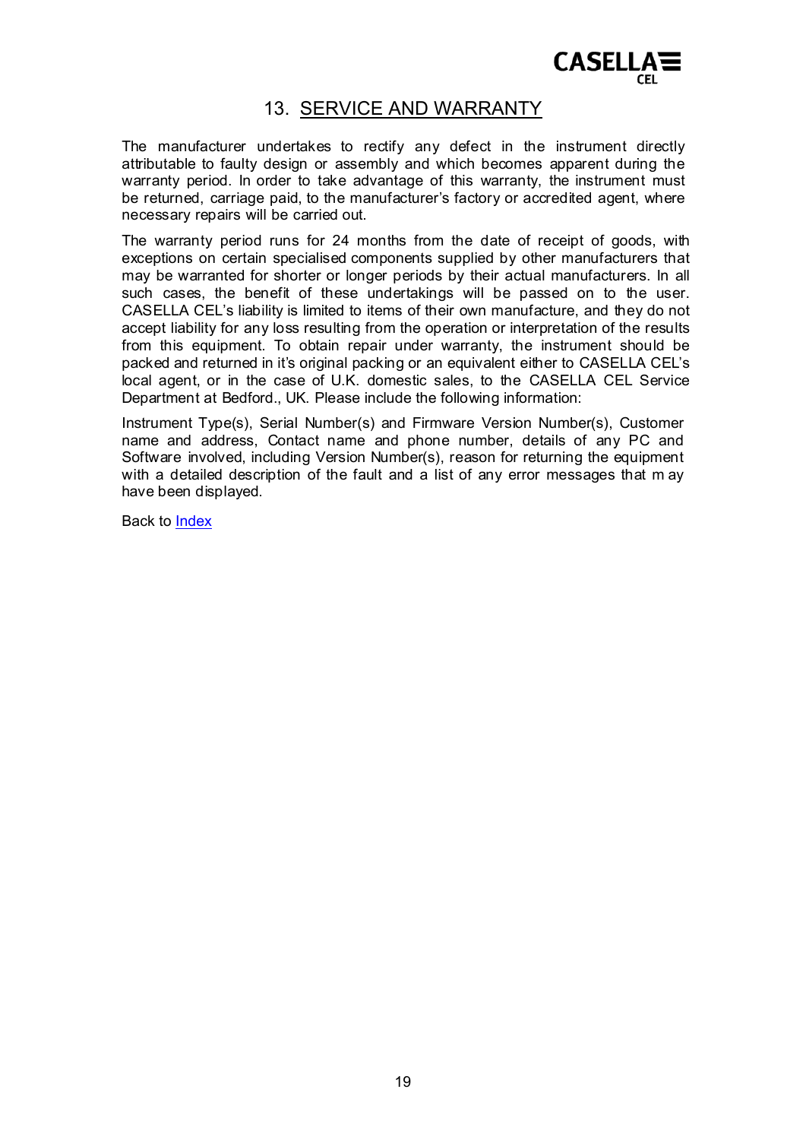

### 13. SERVICE AND WARRANTY

<span id="page-18-0"></span>The manufacturer undertakes to rectify any defect in the instrument directly attributable to faulty design or assembly and which becomes apparent during the warranty period. In order to take advantage of this warranty, the instrument must be returned, carriage paid, to the manufacturer's factory or accredited agent, where necessary repairs will be carried out.

The warranty period runs for 24 months from the date of receipt of goods, with exceptions on certain specialised components supplied by other manufacturers that may be warranted for shorter or longer periods by their actual manufacturers. In all such cases, the benefit of these undertakings will be passed on to the user. CASELLA CEL's liability is limited to items of their own manufacture, and they do not accept liability for any loss resulting from the operation or interpretation of the results from this equipment. To obtain repair under warranty, the instrument should be packed and returned in it's original packing or an equivalent either to CASELLA CEL's local agent, or in the case of U.K. domestic sales, to the CASELLA CEL Service Department at Bedford., UK. Please include the following information:

Instrument Type(s), Serial Number(s) and Firmware Version Number(s), Customer name and address, Contact name and phone number, details of any PC and Software involved, including Version Number(s), reason for returning the equipment with a detailed description of the fault and a list of any error messages that m ay have been displayed.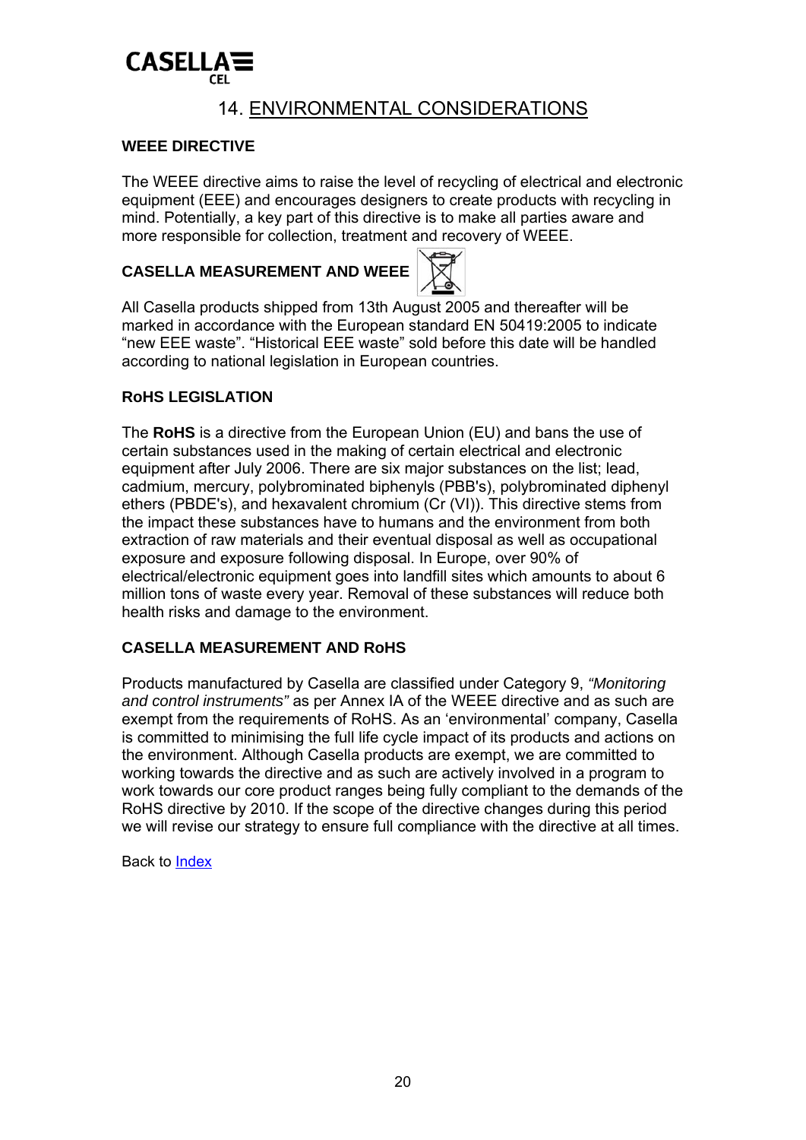# <span id="page-19-0"></span>**CASELLAE**

# 14. ENVIRONMENTAL CONSIDERATIONS

### **WEEE DIRECTIVE**

The WEEE directive aims to raise the level of recycling of electrical and electronic equipment (EEE) and encourages designers to create products with recycling in mind. Potentially, a key part of this directive is to make all parties aware and more responsible for collection, treatment and recovery of WEEE.

# **CASELLA MEASUREMENT AND WEEE**



All Casella products shipped from 13th August 2005 and thereafter will be marked in accordance with the European standard EN 50419:2005 to indicate "new EEE waste". "Historical EEE waste" sold before this date will be handled according to national legislation in European countries.

### **RoHS LEGISLATION**

The **RoHS** is a directive from the European Union (EU) and bans the use of certain substances used in the making of certain electrical and electronic equipment after July 2006. There are six major substances on the list; lead, cadmium, mercury, polybrominated biphenyls (PBB's), polybrominated diphenyl ethers (PBDE's), and hexavalent chromium (Cr (VI)). This directive stems from the impact these substances have to humans and the environment from both extraction of raw materials and their eventual disposal as well as occupational exposure and exposure following disposal. In Europe, over 90% of electrical/electronic equipment goes into landfill sites which amounts to about 6 million tons of waste every year. Removal of these substances will reduce both health risks and damage to the environment.

#### **CASELLA MEASUREMENT AND RoHS**

Products manufactured by Casella are classified under Category 9, *"Monitoring and control instruments"* as per Annex IA of the WEEE directive and as such are exempt from the requirements of RoHS. As an 'environmental' company, Casella is committed to minimising the full life cycle impact of its products and actions on the environment. Although Casella products are exempt, we are committed to working towards the directive and as such are actively involved in a program to work towards our core product ranges being fully compliant to the demands of the RoHS directive by 2010. If the scope of the directive changes during this period we will revise our strategy to ensure full compliance with the directive at all times.